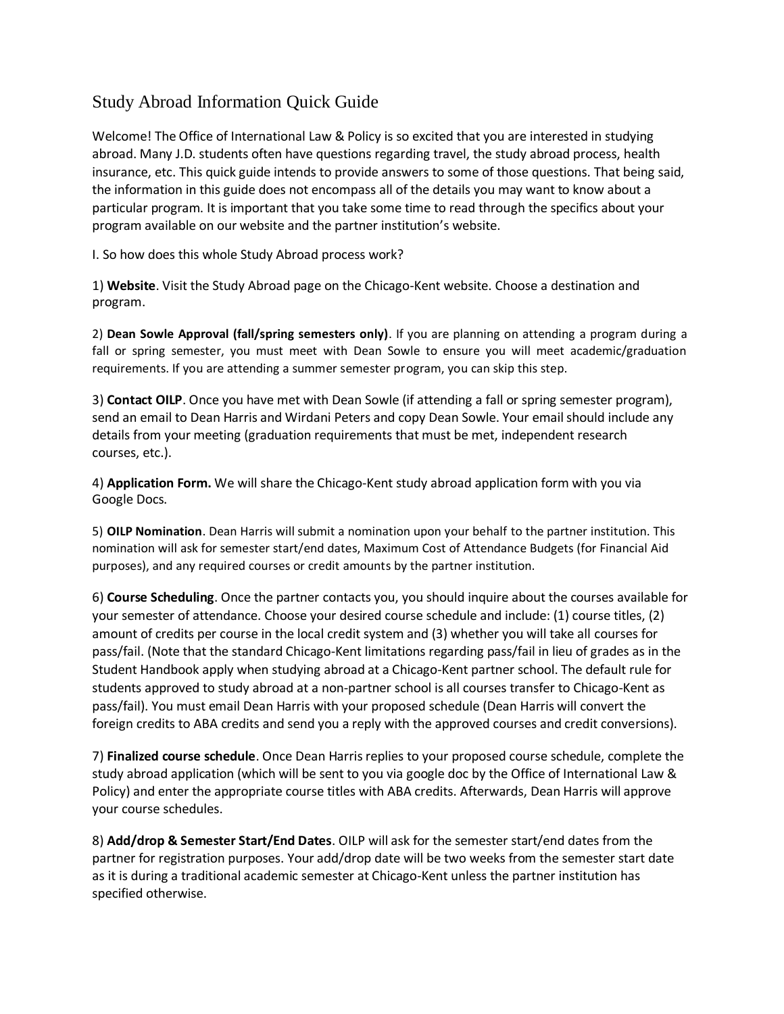## Study Abroad Information Quick Guide

Welcome! The Office of International Law & Policy is so excited that you are interested in studying abroad. Many J.D. students often have questions regarding travel, the study abroad process, health insurance, etc. This quick guide intends to provide answers to some of those questions. That being said, the information in this guide does not encompass all of the details you may want to know about a particular program. It is important that you take some time to read through the specifics about your program available on our website and the partner institution's website.

I. So how does this whole Study Abroad process work?

1) **Website**. Visit the Study Abroad page on the Chicago-Kent website. Choose a destination and program.

2) **Dean Sowle Approval (fall/spring semesters only)**. If you are planning on attending a program during a fall or spring semester, you must meet with Dean Sowle to ensure you will meet academic/graduation requirements. If you are attending a summer semester program, you can skip this step.

3) **Contact OILP**. Once you have met with Dean Sowle (if attending a fall or spring semester program), send an email to Dean Harris and Wirdani Peters and copy Dean Sowle. Your email should include any details from your meeting (graduation requirements that must be met, independent research courses, etc.).

4) **Application Form.** We will share the Chicago-Kent study abroad application form with you via Google Docs.

5) **OILP Nomination**. Dean Harris will submit a nomination upon your behalf to the partner institution. This nomination will ask for semester start/end dates, Maximum Cost of Attendance Budgets (for Financial Aid purposes), and any required courses or credit amounts by the partner institution.

6) **Course Scheduling**. Once the partner contacts you, you should inquire about the courses available for your semester of attendance. Choose your desired course schedule and include: (1) course titles, (2) amount of credits per course in the local credit system and (3) whether you will take all courses for pass/fail. (Note that the standard Chicago-Kent limitations regarding pass/fail in lieu of grades as in the Student Handbook apply when studying abroad at a Chicago-Kent partner school. The default rule for students approved to study abroad at a non-partner school is all courses transfer to Chicago-Kent as pass/fail). You must email Dean Harris with your proposed schedule (Dean Harris will convert the foreign credits to ABA credits and send you a reply with the approved courses and credit conversions).

7) **Finalized course schedule**. Once Dean Harris replies to your proposed course schedule, complete the study abroad application (which will be sent to you via google doc by the Office of International Law & Policy) and enter the appropriate course titles with ABA credits. Afterwards, Dean Harris will approve your course schedules.

8) **Add/drop & Semester Start/End Dates**. OILP will ask for the semester start/end dates from the partner for registration purposes. Your add/drop date will be two weeks from the semester start date as it is during a traditional academic semester at Chicago-Kent unless the partner institution has specified otherwise.